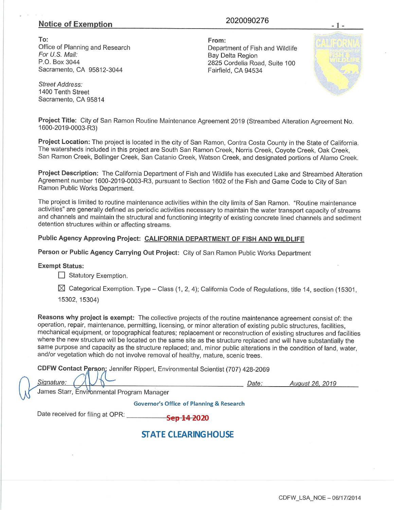## **Notice of Exemption**

### 2020090276

To: Office of Planning and Research For U.S. Mail: P.0. Box 3044 Sacramento, CA 95812-3044

From: Department of Fish and Wildlife Bay Delta Region 2825 Cordelia Road, Suite 100 Fairfield, CA 94534

Street Address: 1400 Tenth Street Sacramento, CA 95814

Project Title: City of San Ramon Routine Maintenance Agreement 2019 (Streambed Alteration Agreement No. 1600-2019-0003-R3)

Project Location: The project is located in the city of San Ramon, Contra Costa County in the State of California. The watersheds included in this project are South San Ramon Creek, Norris Creek, Coyote Creek, Oak Creek, San Ramon Creek, Bollinger Creek, San Catanio Creek, Watson Creek, and designated portions of Alamo Creek.

Project Description: The California Department of Fish and Wildlife has executed Lake and Streambed Alteration Agreement number 1600-2019-0003-R3, pursuant to Section 1602 of the Fish and Game Code to City of San Ramon Public Works Department.

The project is limited to routine maintenance activities within the city limits of San Ramon. "Routine maintenance activities" are generally defined as periodic activities necessary to maintain the water transport capacity of streams and channels and maintain the structural and functioning integrity of existing concrete lined channels and sediment detention structures within or affecting streams.

## Public Agency Approving Project: CALIFORNIA DEPARTMENT OF FISH AND WILDLIFE

Person or Public Agency Carrying Out Project: City of San Ramon Public Works Department

### Exempt Status:

**Statutory Exemption.** 

 $\boxtimes$  Categorical Exemption. Type - Class (1, 2, 4); California Code of Regulations, title 14, section (15301,

15302, 15304)

Reasons why project is exempt: The collective projects of the routine maintenance agreement consist of: the operation, repair, maintenance, permitting, licensing, or minor alteration of existing public structures, facilities, mechanical equipment, or topographical features; replacement or reconstruction of existing structures and facilities where the new structure will be located on the same site as the structure replaced and will have substantially the same purpose and capacity as the structure replaced; and, minor public alterations in the condition of land, water, and/or vegetation which do not involve removal of healthy, mature, scenic trees.

CDFW Contact Person; Jennifer Rippert, Environmental Scientist (707) 428-2069

Signature:

Date:

Auqust 26, 2019

James Starr, Environmental Program Manager

**Governor's Office of Planning & Research** 

Date received for filing at OPR:

# **STATE CLEARINGHOUSE**

<del>Sep 14 2</del>020

CDFW LSA NOE - 06/17/2014